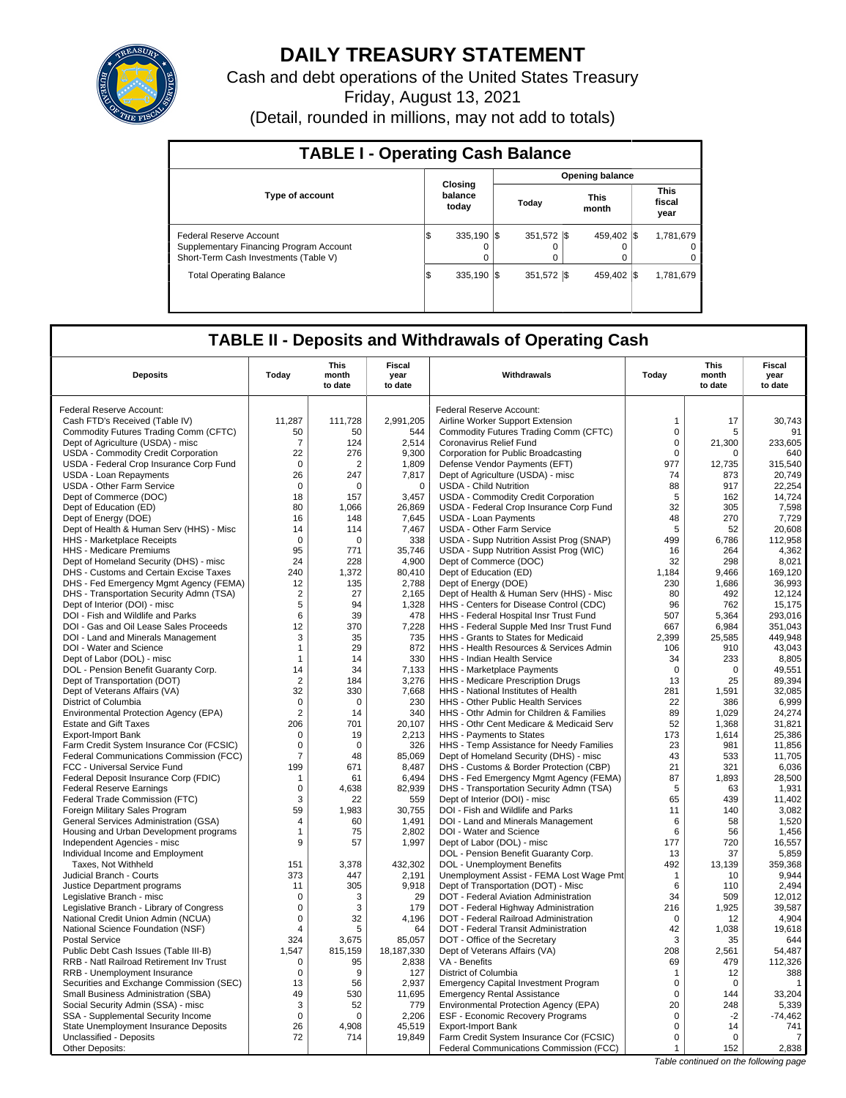

# **DAILY TREASURY STATEMENT**

Cash and debt operations of the United States Treasury

Friday, August 13, 2021

(Detail, rounded in millions, may not add to totals)

| <b>TABLE I - Operating Cash Balance</b>                                                                     |     |                             |                        |                 |  |               |  |                               |  |  |  |
|-------------------------------------------------------------------------------------------------------------|-----|-----------------------------|------------------------|-----------------|--|---------------|--|-------------------------------|--|--|--|
|                                                                                                             |     |                             | <b>Opening balance</b> |                 |  |               |  |                               |  |  |  |
| <b>Type of account</b>                                                                                      |     | Closina<br>balance<br>today |                        | Today           |  | This<br>month |  | <b>This</b><br>fiscal<br>year |  |  |  |
| Federal Reserve Account<br>Supplementary Financing Program Account<br>Short-Term Cash Investments (Table V) | IS  | 335.190 \\$<br>$\Omega$     |                        | 351,572 \$<br>0 |  | 459.402 \\$   |  | 1,781,679<br>0<br>0           |  |  |  |
| <b>Total Operating Balance</b>                                                                              | l\$ | 335.190 \\$                 |                        | 351.572 \\$     |  | 459.402 \\$   |  | 1.781.679                     |  |  |  |

## **TABLE II - Deposits and Withdrawals of Operating Cash**

| <b>Deposits</b>                                                         | Today              | <b>This</b><br>month<br>to date | Fiscal<br>year<br>to date | Withdrawals                                                                       | Today        | <b>This</b><br>month<br>to date | <b>Fiscal</b><br>year<br>to date |
|-------------------------------------------------------------------------|--------------------|---------------------------------|---------------------------|-----------------------------------------------------------------------------------|--------------|---------------------------------|----------------------------------|
| Federal Reserve Account:                                                |                    |                                 |                           | Federal Reserve Account:                                                          |              |                                 |                                  |
| Cash FTD's Received (Table IV)                                          | 11,287             | 111,728                         | 2,991,205                 | Airline Worker Support Extension                                                  | 1            | 17                              | 30,743                           |
| Commodity Futures Trading Comm (CFTC)                                   | 50                 | 50                              | 544                       | Commodity Futures Trading Comm (CFTC)                                             | $\mathbf 0$  | 5                               | 91                               |
| Dept of Agriculture (USDA) - misc                                       | $\overline{7}$     | 124                             | 2,514                     | Coronavirus Relief Fund                                                           | $\mathbf 0$  | 21,300                          | 233,605                          |
| USDA - Commodity Credit Corporation                                     | 22                 | 276                             | 9,300                     | Corporation for Public Broadcasting                                               | $\mathbf 0$  | 0                               | 640                              |
| USDA - Federal Crop Insurance Corp Fund                                 | $\mathbf 0$        | 2                               | 1,809                     | Defense Vendor Payments (EFT)                                                     | 977          | 12,735                          | 315,540                          |
| USDA - Loan Repayments                                                  | 26                 | 247                             | 7,817                     | Dept of Agriculture (USDA) - misc                                                 | 74           | 873                             | 20,749                           |
| <b>USDA - Other Farm Service</b>                                        | $\mathbf 0$        | $\Omega$                        | $\mathbf 0$               | <b>USDA - Child Nutrition</b>                                                     | 88           | 917                             | 22,254                           |
| Dept of Commerce (DOC)                                                  | 18                 | 157                             | 3.457                     | USDA - Commodity Credit Corporation                                               | 5            | 162                             | 14.724                           |
| Dept of Education (ED)                                                  | 80                 | 1,066                           | 26,869                    | USDA - Federal Crop Insurance Corp Fund                                           | 32           | 305                             | 7,598                            |
| Dept of Energy (DOE)                                                    | 16                 | 148                             | 7,645                     | <b>USDA - Loan Payments</b>                                                       | 48           | 270                             | 7,729                            |
| Dept of Health & Human Serv (HHS) - Misc                                | 14                 | 114                             | 7,467                     | USDA - Other Farm Service                                                         | 5            | 52                              | 20,608                           |
| <b>HHS</b> - Marketplace Receipts                                       | $\Omega$           | $\Omega$                        | 338                       | USDA - Supp Nutrition Assist Prog (SNAP)                                          | 499          | 6,786                           | 112,958                          |
| <b>HHS - Medicare Premiums</b>                                          | 95                 | 771                             | 35,746                    | USDA - Supp Nutrition Assist Prog (WIC)                                           | 16           | 264                             | 4,362                            |
| Dept of Homeland Security (DHS) - misc                                  | 24                 | 228                             | 4,900                     | Dept of Commerce (DOC)                                                            | 32           | 298                             | 8,021                            |
| DHS - Customs and Certain Excise Taxes                                  | 240                | 1,372                           | 80,410                    | Dept of Education (ED)                                                            | 1,184        | 9,466                           | 169,120                          |
| DHS - Fed Emergency Mgmt Agency (FEMA)                                  | 12                 | 135                             | 2,788                     | Dept of Energy (DOE)                                                              | 230          | 1,686                           | 36,993                           |
| DHS - Transportation Security Admn (TSA)                                | $\overline{2}$     | 27                              | 2,165                     | Dept of Health & Human Serv (HHS) - Misc                                          | 80           | 492                             | 12,124                           |
| Dept of Interior (DOI) - misc                                           | 5                  | 94                              | 1,328                     | HHS - Centers for Disease Control (CDC)                                           | 96           | 762                             | 15,175                           |
| DOI - Fish and Wildlife and Parks                                       | 6                  | 39                              | 478                       | HHS - Federal Hospital Insr Trust Fund                                            | 507          | 5,364                           | 293,016                          |
| DOI - Gas and Oil Lease Sales Proceeds                                  | 12                 | 370                             | 7,228                     | HHS - Federal Supple Med Insr Trust Fund                                          | 667          | 6,984                           | 351,043                          |
| DOI - Land and Minerals Management                                      | 3                  | 35                              | 735                       | HHS - Grants to States for Medicaid                                               | 2,399        | 25,585                          | 449,948                          |
| DOI - Water and Science                                                 | $\mathbf{1}$       | 29                              | 872                       | HHS - Health Resources & Services Admin                                           | 106          | 910                             | 43,043                           |
| Dept of Labor (DOL) - misc                                              | $\mathbf{1}$       | 14                              | 330                       | HHS - Indian Health Service                                                       | 34           | 233                             | 8,805                            |
| DOL - Pension Benefit Guaranty Corp.                                    | 14                 | 34                              | 7,133                     | HHS - Marketplace Payments                                                        | $\mathbf 0$  | $\mathbf 0$                     | 49,551                           |
| Dept of Transportation (DOT)                                            | $\overline{2}$     | 184                             | 3,276                     | HHS - Medicare Prescription Drugs                                                 | 13           | 25                              | 89,394                           |
| Dept of Veterans Affairs (VA)                                           | 32                 | 330                             | 7,668                     | HHS - National Institutes of Health                                               | 281          | 1,591                           | 32.085                           |
| District of Columbia                                                    | $\mathbf 0$        | $\mathbf 0$                     | 230                       | HHS - Other Public Health Services                                                | 22           | 386                             | 6,999                            |
| Environmental Protection Agency (EPA)                                   | $\overline{2}$     | 14                              | 340                       | HHS - Othr Admin for Children & Families                                          | 89           | 1,029                           | 24,274                           |
| <b>Estate and Gift Taxes</b>                                            | 206<br>$\mathbf 0$ | 701                             | 20,107                    | HHS - Othr Cent Medicare & Medicaid Serv                                          | 52           | 1,368                           | 31,821                           |
| <b>Export-Import Bank</b>                                               | $\mathbf 0$        | 19                              | 2,213                     | HHS - Payments to States                                                          | 173          | 1,614                           | 25,386                           |
| Farm Credit System Insurance Cor (FCSIC)                                | $\overline{7}$     | 0                               | 326<br>85,069             | HHS - Temp Assistance for Needy Families                                          | 23<br>43     | 981<br>533                      | 11,856<br>11,705                 |
| Federal Communications Commission (FCC)<br>FCC - Universal Service Fund | 199                | 48<br>671                       | 8,487                     | Dept of Homeland Security (DHS) - misc                                            | 21           | 321                             | 6,036                            |
| Federal Deposit Insurance Corp (FDIC)                                   | 1                  | 61                              | 6,494                     | DHS - Customs & Border Protection (CBP)<br>DHS - Fed Emergency Mgmt Agency (FEMA) | 87           | 1,893                           | 28,500                           |
| <b>Federal Reserve Earnings</b>                                         | $\mathbf 0$        | 4,638                           | 82,939                    | DHS - Transportation Security Admn (TSA)                                          | 5            | 63                              | 1,931                            |
| Federal Trade Commission (FTC)                                          | 3                  | 22                              | 559                       | Dept of Interior (DOI) - misc                                                     | 65           | 439                             | 11.402                           |
| Foreign Military Sales Program                                          | 59                 | 1,983                           | 30,755                    | DOI - Fish and Wildlife and Parks                                                 | 11           | 140                             | 3,082                            |
| General Services Administration (GSA)                                   | 4                  | 60                              | 1.491                     | DOI - Land and Minerals Management                                                | 6            | 58                              | 1,520                            |
| Housing and Urban Development programs                                  | $\mathbf{1}$       | 75                              | 2,802                     | DOI - Water and Science                                                           | 6            | 56                              | 1,456                            |
| Independent Agencies - misc                                             | 9                  | 57                              | 1,997                     | Dept of Labor (DOL) - misc                                                        | 177          | 720                             | 16,557                           |
| Individual Income and Employment                                        |                    |                                 |                           | DOL - Pension Benefit Guaranty Corp.                                              | 13           | 37                              | 5,859                            |
| Taxes, Not Withheld                                                     | 151                | 3,378                           | 432,302                   | <b>DOL</b> - Unemployment Benefits                                                | 492          | 13,139                          | 359,368                          |
| Judicial Branch - Courts                                                | 373                | 447                             | 2.191                     | Unemployment Assist - FEMA Lost Wage Pmt                                          | $\mathbf{1}$ | 10                              | 9,944                            |
| Justice Department programs                                             | 11                 | 305                             | 9,918                     | Dept of Transportation (DOT) - Misc                                               | 6            | 110                             | 2,494                            |
| Legislative Branch - misc                                               | $\mathbf 0$        | 3                               | 29                        | DOT - Federal Aviation Administration                                             | 34           | 509                             | 12,012                           |
| Legislative Branch - Library of Congress                                | $\mathbf 0$        | 3                               | 179                       | DOT - Federal Highway Administration                                              | 216          | 1,925                           | 39,587                           |
| National Credit Union Admin (NCUA)                                      | $\mathsf 0$        | 32                              | 4,196                     | DOT - Federal Railroad Administration                                             | $\mathbf 0$  | 12                              | 4,904                            |
| National Science Foundation (NSF)                                       | 4                  | 5                               | 64                        | DOT - Federal Transit Administration                                              | 42           | 1.038                           | 19.618                           |
| <b>Postal Service</b>                                                   | 324                | 3,675                           | 85,057                    | DOT - Office of the Secretary                                                     | 3            | 35                              | 644                              |
| Public Debt Cash Issues (Table III-B)                                   | 1.547              | 815,159                         | 18,187,330                | Dept of Veterans Affairs (VA)                                                     | 208          | 2,561                           | 54.487                           |
| RRB - Natl Railroad Retirement Inv Trust                                | $\mathsf 0$        | 95                              | 2,838                     | VA - Benefits                                                                     | 69           | 479                             | 112,326                          |
| RRB - Unemployment Insurance                                            | $\Omega$           | 9                               | 127                       | District of Columbia                                                              | $\mathbf 1$  | 12                              | 388                              |
| Securities and Exchange Commission (SEC)                                | 13                 | 56                              | 2,937                     | <b>Emergency Capital Investment Program</b>                                       | $\mathbf 0$  | 0                               | $\mathbf{1}$                     |
| Small Business Administration (SBA)                                     | 49                 | 530                             | 11,695                    | <b>Emergency Rental Assistance</b>                                                | $\Omega$     | 144                             | 33,204                           |
| Social Security Admin (SSA) - misc                                      | 3                  | 52                              | 779                       | Environmental Protection Agency (EPA)                                             | 20           | 248                             | 5,339                            |
| SSA - Supplemental Security Income                                      | $\mathsf 0$        | $\Omega$                        | 2,206                     | <b>ESF - Economic Recovery Programs</b>                                           | $\mathbf 0$  | $-2$                            | $-74,462$                        |
| State Unemployment Insurance Deposits                                   | 26                 | 4,908                           | 45,519                    | <b>Export-Import Bank</b>                                                         | 0            | 14                              | 741                              |
| Unclassified - Deposits                                                 | 72                 | 714                             | 19,849                    | Farm Credit System Insurance Cor (FCSIC)                                          | $\mathbf 0$  | $\Omega$                        | 7                                |
| Other Deposits:                                                         |                    |                                 |                           | Federal Communications Commission (FCC)                                           | $\mathbf{1}$ | 152                             | 2,838                            |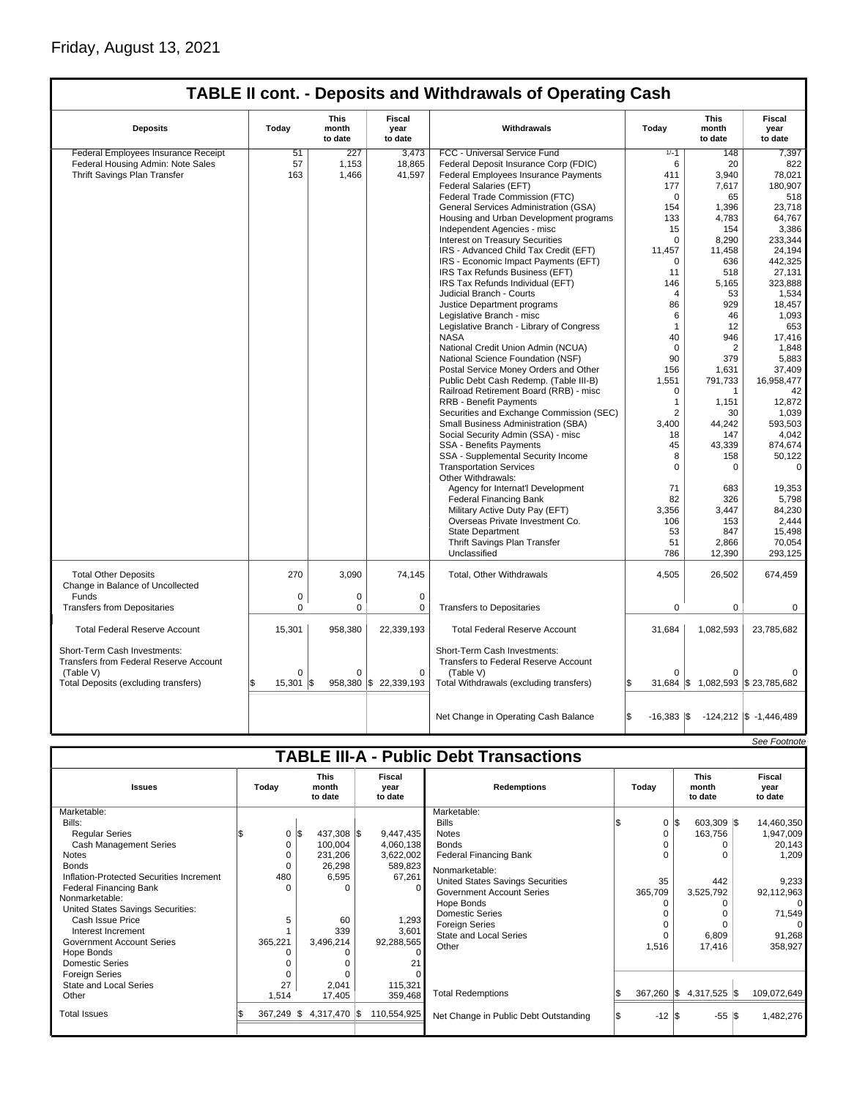| <b>TABLE II cont. - Deposits and Withdrawals of Operating Cash</b>            |                                                                                      |          |                       |                                                                             |                     |                          |                                   |  |  |
|-------------------------------------------------------------------------------|--------------------------------------------------------------------------------------|----------|-----------------------|-----------------------------------------------------------------------------|---------------------|--------------------------|-----------------------------------|--|--|
| <b>Deposits</b>                                                               | <b>This</b><br>Fiscal<br>Today<br>month<br>year<br>Withdrawals<br>to date<br>to date |          |                       |                                                                             | Today               | This<br>month<br>to date | <b>Fiscal</b><br>year<br>to date  |  |  |
| Federal Employees Insurance Receipt                                           | 51                                                                                   | 227      | 3,473                 | FCC - Universal Service Fund                                                | $1/-1$              | 148                      | 7,397                             |  |  |
| Federal Housing Admin: Note Sales                                             | 57                                                                                   | 1,153    | 18,865                | Federal Deposit Insurance Corp (FDIC)                                       | 6                   | 20                       | 822                               |  |  |
| Thrift Savings Plan Transfer                                                  | 163                                                                                  | 1,466    | 41,597                | Federal Employees Insurance Payments                                        | 411                 | 3,940                    | 78,021                            |  |  |
|                                                                               |                                                                                      |          |                       | Federal Salaries (EFT)                                                      | 177                 | 7,617                    | 180,907                           |  |  |
|                                                                               |                                                                                      |          |                       | Federal Trade Commission (FTC)                                              | $\Omega$            | 65                       | 518                               |  |  |
|                                                                               |                                                                                      |          |                       | General Services Administration (GSA)                                       | 154                 | 1,396                    | 23,718                            |  |  |
|                                                                               |                                                                                      |          |                       | Housing and Urban Development programs                                      | 133                 | 4,783                    | 64,767                            |  |  |
|                                                                               |                                                                                      |          |                       |                                                                             |                     |                          |                                   |  |  |
|                                                                               |                                                                                      |          |                       | Independent Agencies - misc                                                 | 15                  | 154                      | 3,386                             |  |  |
|                                                                               |                                                                                      |          |                       | <b>Interest on Treasury Securities</b>                                      | $\Omega$            | 8,290                    | 233,344                           |  |  |
|                                                                               |                                                                                      |          |                       | IRS - Advanced Child Tax Credit (EFT)                                       | 11,457              | 11,458                   | 24,194                            |  |  |
|                                                                               |                                                                                      |          |                       | IRS - Economic Impact Payments (EFT)                                        | $\Omega$            | 636                      | 442,325                           |  |  |
|                                                                               |                                                                                      |          |                       | IRS Tax Refunds Business (EFT)                                              | 11                  | 518                      | 27,131                            |  |  |
|                                                                               |                                                                                      |          |                       | IRS Tax Refunds Individual (EFT)                                            | 146                 | 5,165                    | 323,888                           |  |  |
|                                                                               |                                                                                      |          |                       | Judicial Branch - Courts                                                    | 4                   | 53                       | 1,534                             |  |  |
|                                                                               |                                                                                      |          |                       | Justice Department programs                                                 | 86                  | 929                      | 18,457                            |  |  |
|                                                                               |                                                                                      |          |                       | Legislative Branch - misc                                                   | 6                   | 46                       | 1,093                             |  |  |
|                                                                               |                                                                                      |          |                       | Legislative Branch - Library of Congress                                    | $\mathbf{1}$        | 12                       | 653                               |  |  |
|                                                                               |                                                                                      |          |                       | <b>NASA</b>                                                                 | 40                  | 946                      | 17,416                            |  |  |
|                                                                               |                                                                                      |          |                       | National Credit Union Admin (NCUA)                                          | $\Omega$            | $\overline{2}$           | 1,848                             |  |  |
|                                                                               |                                                                                      |          |                       | National Science Foundation (NSF)                                           | 90                  | 379                      | 5,883                             |  |  |
|                                                                               |                                                                                      |          |                       | Postal Service Money Orders and Other                                       | 156                 | 1,631                    | 37,409                            |  |  |
|                                                                               |                                                                                      |          |                       | Public Debt Cash Redemp. (Table III-B)                                      | 1,551               | 791,733                  | 16,958,477                        |  |  |
|                                                                               |                                                                                      |          |                       | Railroad Retirement Board (RRB) - misc                                      | $\mathbf 0$         | 1                        | 42                                |  |  |
|                                                                               |                                                                                      |          |                       | <b>RRB - Benefit Payments</b>                                               | $\mathbf{1}$        | 1.151                    | 12.872                            |  |  |
|                                                                               |                                                                                      |          |                       | Securities and Exchange Commission (SEC)                                    | $\overline{2}$      | 30                       | 1,039                             |  |  |
|                                                                               |                                                                                      |          |                       | Small Business Administration (SBA)                                         | 3,400               | 44,242                   | 593,503                           |  |  |
|                                                                               |                                                                                      |          |                       |                                                                             |                     |                          |                                   |  |  |
|                                                                               |                                                                                      |          |                       | Social Security Admin (SSA) - misc                                          | 18                  | 147                      | 4,042                             |  |  |
|                                                                               |                                                                                      |          |                       | <b>SSA - Benefits Payments</b>                                              | 45                  | 43,339                   | 874,674                           |  |  |
|                                                                               |                                                                                      |          |                       | SSA - Supplemental Security Income                                          | 8                   | 158                      | 50,122                            |  |  |
|                                                                               |                                                                                      |          |                       | <b>Transportation Services</b>                                              | $\mathbf 0$         | 0                        | 0                                 |  |  |
|                                                                               |                                                                                      |          |                       | Other Withdrawals:                                                          |                     |                          |                                   |  |  |
|                                                                               |                                                                                      |          |                       | Agency for Internat'l Development                                           | 71                  | 683                      | 19,353                            |  |  |
|                                                                               |                                                                                      |          |                       | <b>Federal Financing Bank</b>                                               | 82                  | 326                      | 5,798                             |  |  |
|                                                                               |                                                                                      |          |                       | Military Active Duty Pay (EFT)                                              | 3,356               | 3,447                    | 84,230                            |  |  |
|                                                                               |                                                                                      |          |                       | Overseas Private Investment Co.                                             | 106                 | 153                      | 2,444                             |  |  |
|                                                                               |                                                                                      |          |                       | <b>State Department</b>                                                     | 53                  | 847                      | 15,498                            |  |  |
|                                                                               |                                                                                      |          |                       | Thrift Savings Plan Transfer                                                | 51                  | 2,866                    | 70,054                            |  |  |
|                                                                               |                                                                                      |          |                       | Unclassified                                                                | 786                 | 12,390                   | 293,125                           |  |  |
| <b>Total Other Deposits</b><br>Change in Balance of Uncollected               | 270                                                                                  | 3,090    | 74,145                | Total, Other Withdrawals                                                    | 4,505               | 26,502                   | 674,459                           |  |  |
| Funds                                                                         | 0                                                                                    | 0        | $\mathbf 0$           |                                                                             |                     |                          |                                   |  |  |
| <b>Transfers from Depositaries</b>                                            | $\Omega$                                                                             | $\Omega$ | $\mathbf 0$           | <b>Transfers to Depositaries</b>                                            | 0                   | 0                        | $\Omega$                          |  |  |
|                                                                               |                                                                                      |          |                       |                                                                             |                     |                          |                                   |  |  |
| <b>Total Federal Reserve Account</b>                                          | 15,301                                                                               | 958,380  | 22,339,193            | <b>Total Federal Reserve Account</b>                                        | 31,684              | 1,082,593                | 23,785,682                        |  |  |
| Short-Term Cash Investments:<br><b>Transfers from Federal Reserve Account</b> |                                                                                      |          |                       | Short-Term Cash Investments:<br><b>Transfers to Federal Reserve Account</b> |                     |                          |                                   |  |  |
|                                                                               | 0                                                                                    | $\Omega$ | $\mathbf 0$           |                                                                             | $\Omega$            |                          |                                   |  |  |
| (Table V)                                                                     |                                                                                      |          |                       | (Table V)                                                                   |                     |                          |                                   |  |  |
| Total Deposits (excluding transfers)                                          | 15,301                                                                               | 1\$      | 958,380 \$ 22,339,193 | Total Withdrawals (excluding transfers)                                     |                     |                          | 31,684 \$ 1,082,593 \$ 23,785,682 |  |  |
|                                                                               |                                                                                      |          |                       | Net Change in Operating Cash Balance                                        | Ŝ.<br>$-16,383$ \\$ |                          | $-124,212$ \$ $-1,446,489$        |  |  |

## **TABLE III-A - Public Debt Transactions**

See Footnote

| <b>Issues</b>                                                                                                                                                                                                                                                                                                                                                                                                                  | Today                                                                | This<br>month<br>to date                                                                                | Fiscal<br>year<br>to date                                                                                                  | <b>Redemptions</b>                                                                                                                                                                                                                                                                                                            |  | Today                                                     | <b>This</b><br>month<br>to date                                                       | Fiscal<br>year<br>to date                                                                                                   |
|--------------------------------------------------------------------------------------------------------------------------------------------------------------------------------------------------------------------------------------------------------------------------------------------------------------------------------------------------------------------------------------------------------------------------------|----------------------------------------------------------------------|---------------------------------------------------------------------------------------------------------|----------------------------------------------------------------------------------------------------------------------------|-------------------------------------------------------------------------------------------------------------------------------------------------------------------------------------------------------------------------------------------------------------------------------------------------------------------------------|--|-----------------------------------------------------------|---------------------------------------------------------------------------------------|-----------------------------------------------------------------------------------------------------------------------------|
| Marketable:<br>Bills:<br><b>Regular Series</b><br>Cash Management Series<br><b>Notes</b><br><b>Bonds</b><br>Inflation-Protected Securities Increment<br><b>Federal Financing Bank</b><br>Nonmarketable:<br>United States Savings Securities:<br>Cash Issue Price<br>Interest Increment<br><b>Government Account Series</b><br>Hope Bonds<br><b>Domestic Series</b><br><b>Foreign Series</b><br>State and Local Series<br>Other | 0<br>0<br>$\Omega$<br>480<br>$\Omega$<br>5<br>365,221<br>27<br>1,514 | l\$<br>437,308 \$<br>100,004<br>231,206<br>26,298<br>6,595<br>60<br>339<br>3,496,214<br>2,041<br>17,405 | 9,447,435<br>4,060,138<br>3,622,002<br>589,823<br>67,261<br>$\Omega$<br>1,293<br>3,601<br>92,288,565<br>115,321<br>359,468 | Marketable:<br><b>Bills</b><br><b>Notes</b><br><b>Bonds</b><br><b>Federal Financing Bank</b><br>Nonmarketable:<br>United States Savings Securities<br><b>Government Account Series</b><br>Hope Bonds<br><b>Domestic Series</b><br><b>Foreign Series</b><br><b>State and Local Series</b><br>Other<br><b>Total Redemptions</b> |  | 0<br>U<br>35<br>365,709<br>1,516<br>$367,260$ $\sqrt{\$}$ | l\$<br>$603,309$ \$<br>163,756<br>442<br>3,525,792<br>6,809<br>17,416<br>4,317,525 \$ | 14,460,350<br>1,947,009<br>20,143<br>1,209<br>9,233<br>92,112,963<br>71,549<br>$\Omega$<br>91,268<br>358,927<br>109,072,649 |
| <b>Total Issues</b>                                                                                                                                                                                                                                                                                                                                                                                                            | $367,249$ \$                                                         | 4,317,470 \$                                                                                            | 110,554,925                                                                                                                | Net Change in Public Debt Outstanding                                                                                                                                                                                                                                                                                         |  | $-12$ $\sqrt{3}$                                          | $-55$ $\sqrt{3}$                                                                      | 1,482,276                                                                                                                   |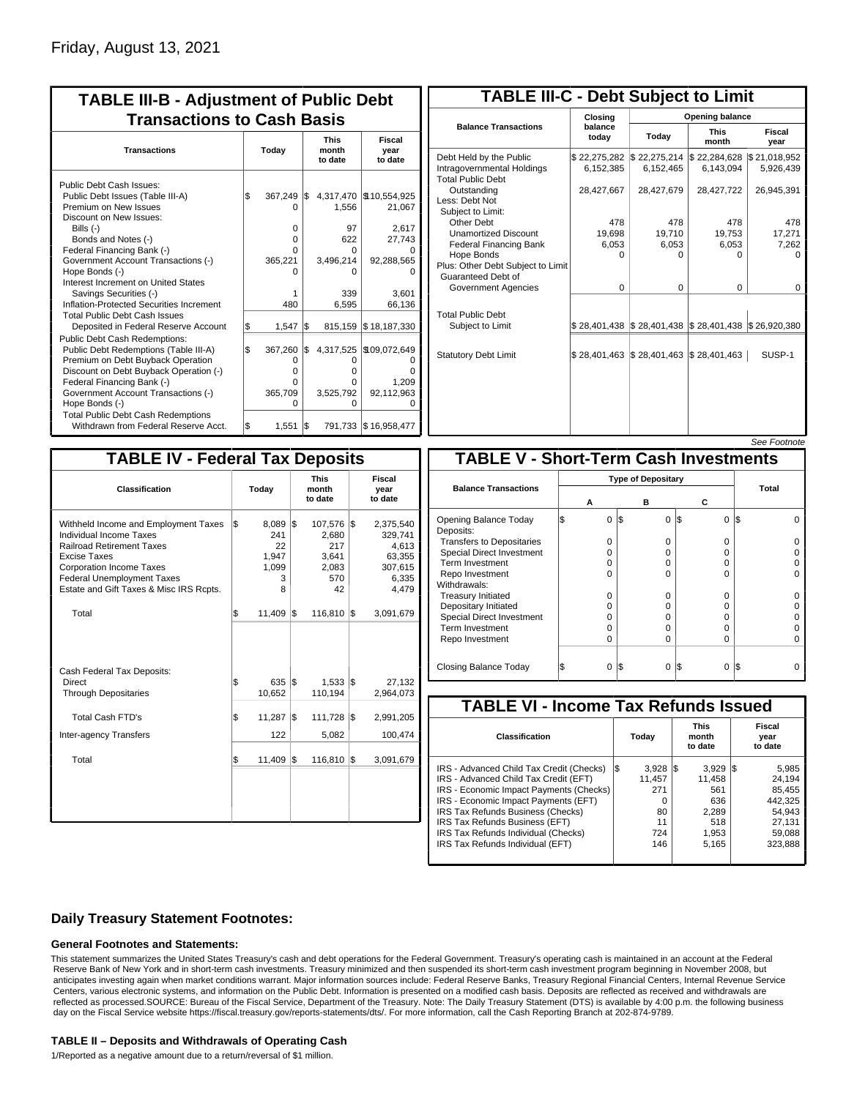| <b>TABLE III-B - Adjustment of Public Debt</b><br><b>Transactions to Cash Basis</b>                                                                                                                                                                                                                                                                                                                |       |                                                                  |     |                                                           |                                                                                       |  |  |  |  |                                 |                                  |
|----------------------------------------------------------------------------------------------------------------------------------------------------------------------------------------------------------------------------------------------------------------------------------------------------------------------------------------------------------------------------------------------------|-------|------------------------------------------------------------------|-----|-----------------------------------------------------------|---------------------------------------------------------------------------------------|--|--|--|--|---------------------------------|----------------------------------|
| <b>Transactions</b>                                                                                                                                                                                                                                                                                                                                                                                | Today |                                                                  |     |                                                           |                                                                                       |  |  |  |  | <b>This</b><br>month<br>to date | <b>Fiscal</b><br>year<br>to date |
| Public Debt Cash Issues:<br>Public Debt Issues (Table III-A)<br>Premium on New Issues<br>Discount on New Issues:<br>Bills $(-)$<br>Bonds and Notes (-)<br>Federal Financing Bank (-)<br>Government Account Transactions (-)<br>Hope Bonds (-)<br>Interest Increment on United States<br>Savings Securities (-)<br>Inflation-Protected Securities Increment<br><b>Total Public Debt Cash Issues</b> | \$    | 367.249<br>$\Omega$<br>0<br>$\Omega$<br>0<br>365,221<br>n<br>480 | I\$ | 1,556<br>97<br>622<br>O<br>3,496,214<br>o<br>339<br>6,595 | 4,317,470 \\$10,554,925<br>21,067<br>2,617<br>27,743<br>92,288,565<br>3.601<br>66,136 |  |  |  |  |                                 |                                  |
| Deposited in Federal Reserve Account                                                                                                                                                                                                                                                                                                                                                               | S.    | 1.547                                                            | l\$ | 815,159                                                   | \$18,187,330                                                                          |  |  |  |  |                                 |                                  |
| <b>Public Debt Cash Redemptions:</b><br>Public Debt Redemptions (Table III-A)<br>Premium on Debt Buyback Operation<br>Discount on Debt Buyback Operation (-)<br>Federal Financing Bank (-)<br>Government Account Transactions (-)<br>Hope Bonds (-)<br><b>Total Public Debt Cash Redemptions</b>                                                                                                   | l\$   | 367,260<br>0<br>$\Omega$<br>O<br>365,709<br>O                    | IS. | 4,317,525<br>O<br>o<br>0<br>3,525,792<br>U                | \$109,072,649<br>O<br>ŋ<br>1,209<br>92,112,963<br>$\Omega$                            |  |  |  |  |                                 |                                  |
| Withdrawn from Federal Reserve Acct.                                                                                                                                                                                                                                                                                                                                                               | l\$   | 1,551                                                            | 1\$ |                                                           | 791,733 \$16,958,477                                                                  |  |  |  |  |                                 |                                  |

| <b>TABLE III-C - Debt Subject to Limit</b>                                        |                             |                                                                                                     |                           |                           |  |  |  |  |  |  |
|-----------------------------------------------------------------------------------|-----------------------------|-----------------------------------------------------------------------------------------------------|---------------------------|---------------------------|--|--|--|--|--|--|
|                                                                                   | Closing                     | Opening balance                                                                                     |                           |                           |  |  |  |  |  |  |
| <b>Balance Transactions</b>                                                       | balance<br>todav            | Today                                                                                               | <b>This</b><br>month      | Fiscal<br>year            |  |  |  |  |  |  |
| Debt Held by the Public<br>Intragovernmental Holdings<br><b>Total Public Debt</b> | \$22,275,282<br>6,152,385   | \$22,275,214<br>6,152,465                                                                           | \$22,284,628<br>6,143,094 | \$21,018,952<br>5,926,439 |  |  |  |  |  |  |
| Outstanding<br>Less: Debt Not<br>Subject to Limit:                                | 28,427,667                  | 28,427,679                                                                                          | 28,427,722                | 26,945,391                |  |  |  |  |  |  |
| Other Debt                                                                        | 478                         | 478                                                                                                 | 478                       | 478                       |  |  |  |  |  |  |
| <b>Unamortized Discount</b>                                                       | 19,698                      | 19,710                                                                                              | 19,753                    | 17,271                    |  |  |  |  |  |  |
| <b>Federal Financing Bank</b>                                                     | 6,053                       | 6,053                                                                                               | 6,053                     | 7,262                     |  |  |  |  |  |  |
| Hope Bonds<br>Plus: Other Debt Subject to Limit<br>Guaranteed Debt of             | 0                           | O                                                                                                   | 0                         | o                         |  |  |  |  |  |  |
| Government Agencies                                                               | $\Omega$                    | $\Omega$                                                                                            | 0                         | 0                         |  |  |  |  |  |  |
| <b>Total Public Debt</b><br>Subject to Limit                                      |                             | $\frac{1}{2}$ 28,401,438 $\frac{1}{2}$ 28,401,438 $\frac{1}{2}$ 28,401,438 $\frac{1}{2}$ 26,920,380 |                           |                           |  |  |  |  |  |  |
| <b>Statutory Debt Limit</b>                                                       | $$28,401,463$ $$28,401,463$ |                                                                                                     | $\$28,401,463$            | SUSP-1                    |  |  |  |  |  |  |
|                                                                                   |                             |                                                                                                     |                           |                           |  |  |  |  |  |  |

| See Footnote |
|--------------|
|--------------|

| <b>TABLE IV - Federal Tax Deposits</b>                                                                                                                                                                                                        |       |                                                     |     |                                                           |                                  |                                                                      |  |
|-----------------------------------------------------------------------------------------------------------------------------------------------------------------------------------------------------------------------------------------------|-------|-----------------------------------------------------|-----|-----------------------------------------------------------|----------------------------------|----------------------------------------------------------------------|--|
| <b>Classification</b>                                                                                                                                                                                                                         | Today |                                                     |     | <b>This</b><br>month<br>to date                           | <b>Fiscal</b><br>year<br>to date |                                                                      |  |
| Withheld Income and Employment Taxes<br>Individual Income Taxes<br><b>Railroad Retirement Taxes</b><br><b>Excise Taxes</b><br><b>Corporation Income Taxes</b><br><b>Federal Unemployment Taxes</b><br>Estate and Gift Taxes & Misc IRS Rcpts. | l\$   | $8,089$ \$<br>241<br>22<br>1,947<br>1,099<br>3<br>8 |     | 107,576 \$<br>2,680<br>217<br>3,641<br>2,083<br>570<br>42 |                                  | 2,375,540<br>329,741<br>4,613<br>63,355<br>307,615<br>6,335<br>4,479 |  |
| Total                                                                                                                                                                                                                                         | l\$   | $11,409$ $\sqrt{3}$                                 |     | 116,810                                                   | 1\$                              | 3,091,679                                                            |  |
| Cash Federal Tax Deposits:<br><b>Direct</b><br><b>Through Depositaries</b>                                                                                                                                                                    | \$    | 635<br>10,652                                       | l\$ | $1,533$ \$<br>110,194                                     |                                  | 27.132<br>2,964,073                                                  |  |
| <b>Total Cash FTD's</b>                                                                                                                                                                                                                       | \$    | 11,287                                              | 1\$ | 111,728                                                   | 1\$                              | 2,991,205                                                            |  |
| <b>Inter-agency Transfers</b>                                                                                                                                                                                                                 |       | 122                                                 |     | 5,082                                                     |                                  | 100,474                                                              |  |
| Total                                                                                                                                                                                                                                         | l\$   | 11,409   \$                                         |     | 116,810                                                   | 1\$                              | 3,091,679                                                            |  |
|                                                                                                                                                                                                                                               |       |                                                     |     |                                                           |                                  |                                                                      |  |

|                                              |   |   |     |          |          | OCC I UUUIUIG |  |  |  |  |
|----------------------------------------------|---|---|-----|----------|----------|---------------|--|--|--|--|
| <b>TABLE V - Short-Term Cash Investments</b> |   |   |     |          |          |               |  |  |  |  |
|                                              |   |   |     |          |          |               |  |  |  |  |
| <b>Balance Transactions</b>                  | А |   |     | в        | С        | Total         |  |  |  |  |
| Opening Balance Today<br>Deposits:           | S | 0 | 1\$ | $\Omega$ | 0<br>I\$ | l\$           |  |  |  |  |
| <b>Transfers to Depositaries</b>             |   | O |     | $\Omega$ | O        |               |  |  |  |  |
| Special Direct Investment                    |   | O |     | 0        | 0        |               |  |  |  |  |
| Term Investment                              |   | O |     | 0        | 0        |               |  |  |  |  |
| Repo Investment                              |   | O |     | $\Omega$ | O        |               |  |  |  |  |
| Withdrawals:                                 |   |   |     |          |          |               |  |  |  |  |
| <b>Treasury Initiated</b>                    |   | O |     | 0        | 0        |               |  |  |  |  |
| Depositary Initiated                         |   | O |     | 0        | 0        |               |  |  |  |  |
| <b>Special Direct Investment</b>             |   | Ω |     | 0        | O        |               |  |  |  |  |
| <b>Term Investment</b>                       |   | O |     | $\Omega$ | O        |               |  |  |  |  |
| Repo Investment                              |   | 0 |     | $\Omega$ | 0        |               |  |  |  |  |
|                                              |   |   |     |          |          |               |  |  |  |  |
| Closing Balance Today                        |   | 0 | I\$ | 0        | I\$<br>0 | l\$           |  |  |  |  |

| <b>TABLE VI - Income Tax Refunds Issued</b> |     |        |                                 |            |  |                           |  |  |  |  |  |
|---------------------------------------------|-----|--------|---------------------------------|------------|--|---------------------------|--|--|--|--|--|
| <b>Classification</b>                       |     | Today  | <b>This</b><br>month<br>to date |            |  | Fiscal<br>year<br>to date |  |  |  |  |  |
| IRS - Advanced Child Tax Credit (Checks)    | l\$ | 3.928  | 1\$                             | $3,929$ \$ |  | 5,985                     |  |  |  |  |  |
| IRS - Advanced Child Tax Credit (EFT)       |     | 11.457 |                                 | 11.458     |  | 24.194                    |  |  |  |  |  |
| IRS - Economic Impact Payments (Checks)     |     | 271    |                                 | 561        |  | 85,455                    |  |  |  |  |  |
| IRS - Economic Impact Payments (EFT)        |     | 0      |                                 | 636        |  | 442,325                   |  |  |  |  |  |
| IRS Tax Refunds Business (Checks)           |     | 80     |                                 | 2,289      |  | 54.943                    |  |  |  |  |  |
| IRS Tax Refunds Business (EFT)              |     | 11     |                                 | 518        |  | 27.131                    |  |  |  |  |  |
| IRS Tax Refunds Individual (Checks)         |     | 724    |                                 | 1,953      |  | 59.088                    |  |  |  |  |  |
| IRS Tax Refunds Individual (EFT)            |     | 146    |                                 | 5.165      |  | 323.888                   |  |  |  |  |  |

### **Daily Treasury Statement Footnotes:**

#### **General Footnotes and Statements:**

This statement summarizes the United States Treasury's cash and debt operations for the Federal Government. Treasury's operating cash is maintained in an account at the Federal Reserve Bank of New York and in short-term cash investments. Treasury minimized and then suspended its short-term cash investment program beginning in November 2008, but anticipates investing again when market conditions warrant. Major information sources include: Federal Reserve Banks, Treasury Regional Financial Centers, Internal Revenue Service Centers, various electronic systems, and information on the Public Debt. Information is presented on a modified cash basis. Deposits are reflected as received and withdrawals are reflected as processed.SOURCE: Bureau of the Fiscal Service, Department of the Treasury. Note: The Daily Treasury Statement (DTS) is available by 4:00 p.m. the following business day on the Fiscal Service website https://fiscal.treasury.gov/reports-statements/dts/. For more information, call the Cash Reporting Branch at 202-874-9789.

#### **TABLE II – Deposits and Withdrawals of Operating Cash**

1/Reported as a negative amount due to a return/reversal of \$1 million.